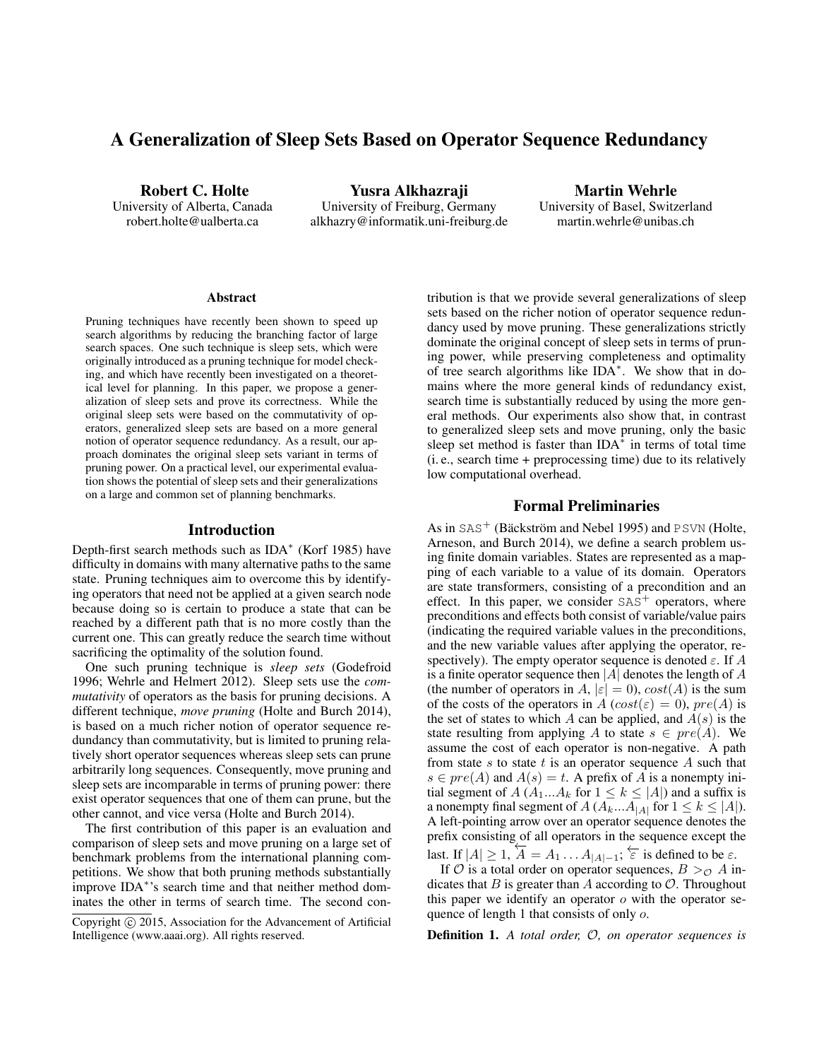# A Generalization of Sleep Sets Based on Operator Sequence Redundancy

Robert C. Holte University of Alberta, Canada robert.holte@ualberta.ca

Yusra Alkhazraji University of Freiburg, Germany alkhazry@informatik.uni-freiburg.de

Martin Wehrle University of Basel, Switzerland martin.wehrle@unibas.ch

#### **Abstract**

Pruning techniques have recently been shown to speed up search algorithms by reducing the branching factor of large search spaces. One such technique is sleep sets, which were originally introduced as a pruning technique for model checking, and which have recently been investigated on a theoretical level for planning. In this paper, we propose a generalization of sleep sets and prove its correctness. While the original sleep sets were based on the commutativity of operators, generalized sleep sets are based on a more general notion of operator sequence redundancy. As a result, our approach dominates the original sleep sets variant in terms of pruning power. On a practical level, our experimental evaluation shows the potential of sleep sets and their generalizations on a large and common set of planning benchmarks.

#### Introduction

Depth-first search methods such as IDA<sup>∗</sup> (Korf 1985) have difficulty in domains with many alternative paths to the same state. Pruning techniques aim to overcome this by identifying operators that need not be applied at a given search node because doing so is certain to produce a state that can be reached by a different path that is no more costly than the current one. This can greatly reduce the search time without sacrificing the optimality of the solution found.

One such pruning technique is *sleep sets* (Godefroid 1996; Wehrle and Helmert 2012). Sleep sets use the *commutativity* of operators as the basis for pruning decisions. A different technique, *move pruning* (Holte and Burch 2014), is based on a much richer notion of operator sequence redundancy than commutativity, but is limited to pruning relatively short operator sequences whereas sleep sets can prune arbitrarily long sequences. Consequently, move pruning and sleep sets are incomparable in terms of pruning power: there exist operator sequences that one of them can prune, but the other cannot, and vice versa (Holte and Burch 2014).

The first contribution of this paper is an evaluation and comparison of sleep sets and move pruning on a large set of benchmark problems from the international planning competitions. We show that both pruning methods substantially improve IDA<sup>\*</sup>'s search time and that neither method dominates the other in terms of search time. The second contribution is that we provide several generalizations of sleep sets based on the richer notion of operator sequence redundancy used by move pruning. These generalizations strictly dominate the original concept of sleep sets in terms of pruning power, while preserving completeness and optimality of tree search algorithms like IDA<sup>\*</sup>. We show that in domains where the more general kinds of redundancy exist, search time is substantially reduced by using the more general methods. Our experiments also show that, in contrast to generalized sleep sets and move pruning, only the basic sleep set method is faster than  $IDA^*$  in terms of total time (i. e., search time + preprocessing time) due to its relatively low computational overhead.

### Formal Preliminaries

As in  $SAS^+$  (Bäckström and Nebel 1995) and PSVN (Holte, Arneson, and Burch 2014), we define a search problem using finite domain variables. States are represented as a mapping of each variable to a value of its domain. Operators are state transformers, consisting of a precondition and an effect. In this paper, we consider  $SAS<sup>+</sup>$  operators, where preconditions and effects both consist of variable/value pairs (indicating the required variable values in the preconditions, and the new variable values after applying the operator, respectively). The empty operator sequence is denoted  $\varepsilon$ . If A is a finite operator sequence then  $|A|$  denotes the length of A (the number of operators in A,  $|\varepsilon| = 0$ ),  $cost(A)$  is the sum of the costs of the operators in A  $(cost(\varepsilon) = 0)$ ,  $pre(A)$  is the set of states to which A can be applied, and  $A(s)$  is the state resulting from applying A to state  $s \in pre(A)$ . We assume the cost of each operator is non-negative. A path from state s to state t is an operator sequence A such that  $s \in pre(A)$  and  $A(s) = t$ . A prefix of A is a nonempty initial segment of  $A(A_1...A_k$  for  $1 \leq k \leq |A|$ ) and a suffix is a nonempty final segment of  $A(A_k...A_{|A|})$  for  $1 \leq k \leq |A|$ ). A left-pointing arrow over an operator sequence denotes the prefix consisting of all operators in the sequence except the last. If  $|A| \geq 1$ ,  $\overline{A} = A_1 \dots A_{|A|-1}$ ;  $\overleftarrow{\varepsilon}$  is defined to be  $\varepsilon$ .

If  $\mathcal O$  is a total order on operator sequences,  $B >_{\mathcal O} A$  indicates that  $B$  is greater than  $A$  according to  $O$ . Throughout this paper we identify an operator  $o$  with the operator sequence of length 1 that consists of only o.

Definition 1. *A total order,* O*, on operator sequences is*

Copyright  $\odot$  2015, Association for the Advancement of Artificial Intelligence (www.aaai.org). All rights reserved.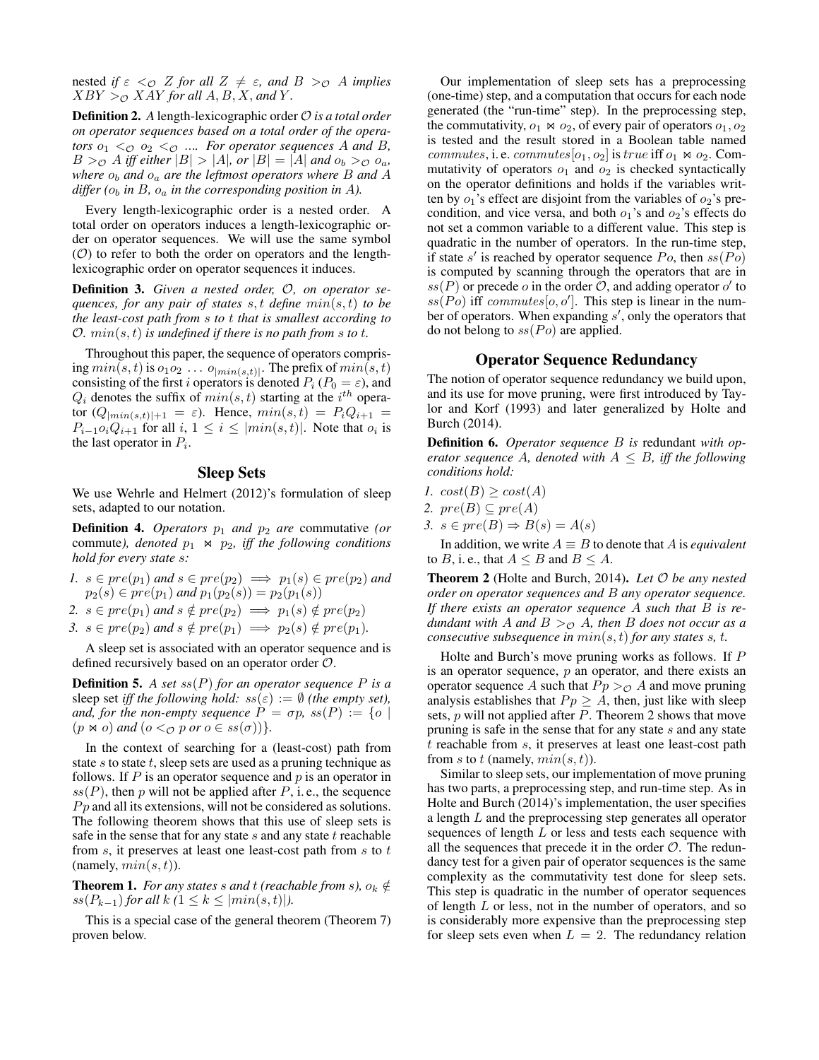nested *if*  $\varepsilon <_{\mathcal{O}} Z$  *for all*  $Z \neq \varepsilon$ *, and*  $B >_{\mathcal{O}} A$  *implies*  $XBY >_{\mathcal{O}} XAY$  *for all*  $A, B, X$ *, and*  $Y$ *.* 

**Definition 2.** A length-lexicographic order  $\mathcal{O}$  *is a total order on operator sequences based on a total order of the operators*  $o_1 < o_2 < o_3$  .... *For operator sequences* A *and* B,  $B >_{\mathcal{O}} A$  *iff either*  $|B| > |A|$ *, or*  $|B| = |A|$  *and*  $o_b >_{\mathcal{O}} o_a$ *, where*  $o_b$  *and*  $o_a$  *are the leftmost operators where B and A differ* ( $o_b$  *in* B,  $o_a$  *in the corresponding position in A*).

Every length-lexicographic order is a nested order. A total order on operators induces a length-lexicographic order on operator sequences. We will use the same symbol  $(\mathcal{O})$  to refer to both the order on operators and the lengthlexicographic order on operator sequences it induces.

Definition 3. *Given a nested order,* O*, on operator sequences, for any pair of states* s, t *define* min(s, t) *to be the least-cost path from* s *to* t *that is smallest according to*  $\mathcal{O}$ *.*  $min(s, t)$  *is undefined if there is no path from s to t.* 

Throughout this paper, the sequence of operators comprising  $min(s, t)$  is  $o_1 o_2 \dots o_{|min(s,t)|}$ . The prefix of  $min(s, t)$ consisting of the first i operators is denoted  $P_i$  ( $P_0 = \varepsilon$ ), and  $Q_i$  denotes the suffix of  $min(s, t)$  starting at the  $i^{th}$  operator  $(Q_{\lfloor min(s,t)\rfloor+1} = \varepsilon)$ . Hence,  $min(s,t) = P_i Q_{i+1}$  $P_{i-1}o_iQ_{i+1}$  for all  $i, 1 \leq i \leq |min(s, t)|$ . Note that  $o_i$  is the last operator in  $P_i$ .

### Sleep Sets

We use Wehrle and Helmert (2012)'s formulation of sleep sets, adapted to our notation.

**Definition 4.** *Operators*  $p_1$  *and*  $p_2$  *are* commutative (*or* commute), denoted  $p_1 \Join p_2$ , iff the following conditions *hold for every state* s*:*

*1.*  $s \in pre(p_1)$  *and*  $s \in pre(p_2) \implies p_1(s) \in pre(p_2)$  *and*  $p_2(s) \in pre(p_1)$  and  $p_1(p_2(s)) = p_2(p_1(s))$ 

2. 
$$
s \in pre(p_1)
$$
 and  $s \notin pre(p_2) \implies p_1(s) \notin pre(p_2)$ 

3.  $s \in pre(p_2)$  and  $s \notin pre(p_1) \implies p_2(s) \notin pre(p_1)$ *.* 

A sleep set is associated with an operator sequence and is defined recursively based on an operator order O.

**Definition 5.** A set  $ss(P)$  for an operator sequence P is a sleep set *iff the following hold:*  $ss(\varepsilon) := \emptyset$  *(the empty set), and, for the non-empty sequence*  $P = \sigma p$ ,  $ss(P) := \{o \mid$  $(p \Join o)$  *and*  $(o <_{\mathcal{O}} p \text{ or } o \in \text{ss}(\sigma))$ *}*.

In the context of searching for a (least-cost) path from state s to state t, sleep sets are used as a pruning technique as follows. If  $P$  is an operator sequence and  $p$  is an operator in  $ss(P)$ , then p will not be applied after P, i.e., the sequence  $P<sub>p</sub>$  and all its extensions, will not be considered as solutions. The following theorem shows that this use of sleep sets is safe in the sense that for any state  $s$  and any state  $t$  reachable from  $s$ , it preserves at least one least-cost path from  $s$  to  $t$ (namely,  $min(s, t)$ ).

**Theorem 1.** *For any states s and t (reachable from s),*  $o_k \notin$  $ss(P_{k-1})$  *for all*  $k$  *(*1  $\leq k \leq |min(s,t)|$ ).

This is a special case of the general theorem (Theorem 7) proven below.

Our implementation of sleep sets has a preprocessing (one-time) step, and a computation that occurs for each node generated (the "run-time" step). In the preprocessing step, the commutativity,  $o_1 \bowtie o_2$ , of every pair of operators  $o_1, o_2$ is tested and the result stored in a Boolean table named commutes, i. e. commutes  $[o_1, o_2]$  is true iff  $o_1 \bowtie o_2$ . Commutativity of operators  $o_1$  and  $o_2$  is checked syntactically on the operator definitions and holds if the variables written by  $o_1$ 's effect are disjoint from the variables of  $o_2$ 's precondition, and vice versa, and both  $o_1$ 's and  $o_2$ 's effects do not set a common variable to a different value. This step is quadratic in the number of operators. In the run-time step, if state s' is reached by operator sequence  $Po$ , then  $ss(Po)$ is computed by scanning through the operators that are in  $ss(P)$  or precede o in the order O, and adding operator o' to  $ss(\overrightarrow{Po})$  iff commutes [0, 0']. This step is linear in the number of operators. When expanding  $s'$ , only the operators that do not belong to  $ss(P<sub>O</sub>)$  are applied.

### Operator Sequence Redundancy

The notion of operator sequence redundancy we build upon, and its use for move pruning, were first introduced by Taylor and Korf (1993) and later generalized by Holte and Burch (2014).

Definition 6. *Operator sequence* B *is* redundant *with operator sequence* A, denoted with  $A \leq B$ , iff the following *conditions hold:*

- *1.*  $cost(B) \geq cost(A)$
- 2.  $pre(B) \subseteq pre(A)$
- 3.  $s \in pre(B) \Rightarrow B(s) = A(s)$

In addition, we write  $A \equiv B$  to denote that A is *equivalent* to B, i. e., that  $A \leq B$  and  $B \leq A$ .

Theorem 2 (Holte and Burch, 2014). *Let* O *be any nested order on operator sequences and* B *any operator sequence. If there exists an operator sequence* A *such that* B *is redundant with* A *and*  $B >_{\mathcal{O}} A$ *, then* B *does not occur as a consecutive subsequence in* min(s, t) *for any states* s*,* t*.*

Holte and Burch's move pruning works as follows. If P is an operator sequence,  $p$  an operator, and there exists an operator sequence A such that  $P_p >_{\mathcal{O}} A$  and move pruning analysis establishes that  $P_p \geq A$ , then, just like with sleep sets,  $p$  will not applied after  $P$ . Theorem 2 shows that move pruning is safe in the sense that for any state  $s$  and any state t reachable from s, it preserves at least one least-cost path from s to t (namely,  $min(s, t)$ ).

Similar to sleep sets, our implementation of move pruning has two parts, a preprocessing step, and run-time step. As in Holte and Burch (2014)'s implementation, the user specifies a length L and the preprocessing step generates all operator sequences of length  $L$  or less and tests each sequence with all the sequences that precede it in the order  $\mathcal{O}$ . The redundancy test for a given pair of operator sequences is the same complexity as the commutativity test done for sleep sets. This step is quadratic in the number of operator sequences of length  $L$  or less, not in the number of operators, and so is considerably more expensive than the preprocessing step for sleep sets even when  $L = 2$ . The redundancy relation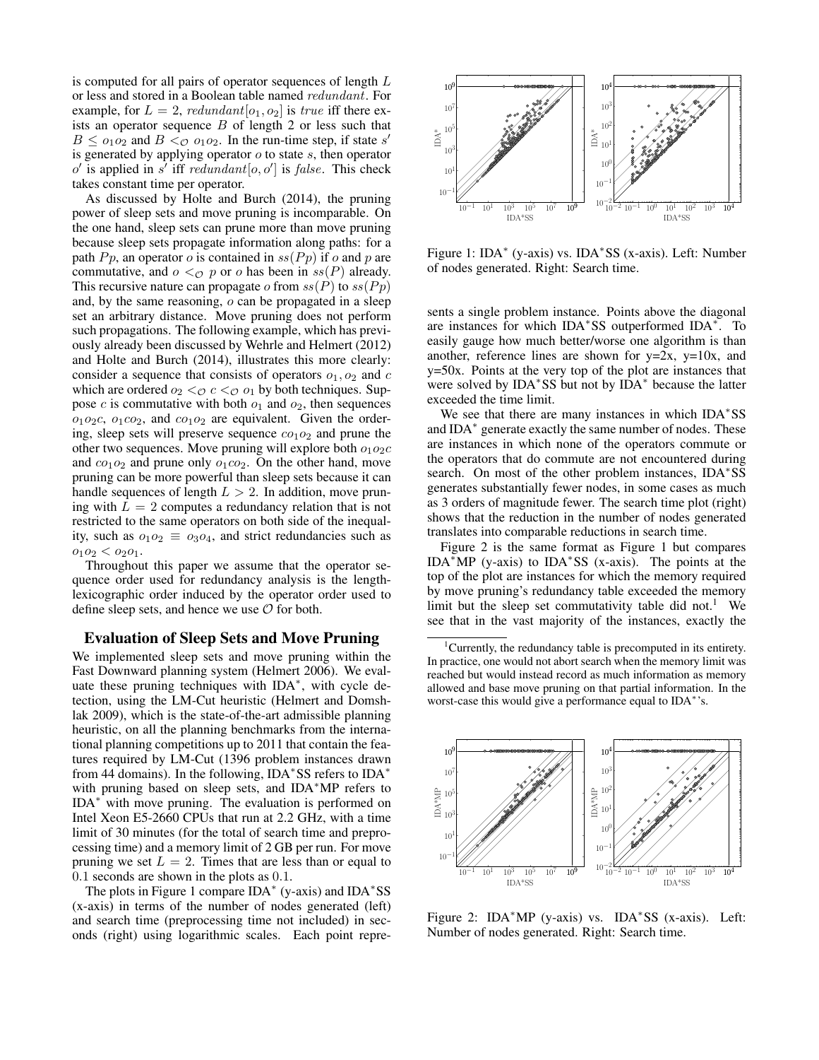is computed for all pairs of operator sequences of length L or less and stored in a Boolean table named redundant. For example, for  $L = 2$ , redundant  $[o_1, o_2]$  is true iff there exists an operator sequence  $B$  of length 2 or less such that  $B \leq o_1 o_2$  and  $B < o_1 o_2$ . In the run-time step, if state s' is generated by applying operator  $o$  to state  $s$ , then operator  $o'$  is applied in  $s'$  iff redundant  $[o, o']$  is false. This check takes constant time per operator.

As discussed by Holte and Burch (2014), the pruning power of sleep sets and move pruning is incomparable. On the one hand, sleep sets can prune more than move pruning because sleep sets propagate information along paths: for a path  $P_p$ , an operator o is contained in  $ss(P_p)$  if o and p are commutative, and  $o <_{\mathcal{O}} p$  or o has been in  $ss(P)$  already. This recursive nature can propagate o from  $ss(P)$  to  $ss(Pp)$ and, by the same reasoning, o can be propagated in a sleep set an arbitrary distance. Move pruning does not perform such propagations. The following example, which has previously already been discussed by Wehrle and Helmert (2012) and Holte and Burch (2014), illustrates this more clearly: consider a sequence that consists of operators  $o_1$ ,  $o_2$  and  $c$ which are ordered  $o_2 <_{\mathcal{O}} c <_{\mathcal{O}} o_1$  by both techniques. Suppose  $c$  is commutative with both  $o_1$  and  $o_2$ , then sequences  $o_1o_2c$ ,  $o_1co_2$ , and  $co_1o_2$  are equivalent. Given the ordering, sleep sets will preserve sequence  $co<sub>1</sub>o<sub>2</sub>$  and prune the other two sequences. Move pruning will explore both  $o_1o_2c$ and  $co_1o_2$  and prune only  $o_1co_2$ . On the other hand, move pruning can be more powerful than sleep sets because it can handle sequences of length  $L > 2$ . In addition, move pruning with  $L = 2$  computes a redundancy relation that is not restricted to the same operators on both side of the inequality, such as  $o_1o_2 \equiv o_3o_4$ , and strict redundancies such as  $o_1o_2 < o_2o_1$ .

Throughout this paper we assume that the operator sequence order used for redundancy analysis is the lengthlexicographic order induced by the operator order used to define sleep sets, and hence we use  $\mathcal O$  for both.

### Evaluation of Sleep Sets and Move Pruning

We implemented sleep sets and move pruning within the Fast Downward planning system (Helmert 2006). We evaluate these pruning techniques with IDA<sup>\*</sup>, with cycle detection, using the LM-Cut heuristic (Helmert and Domshlak 2009), which is the state-of-the-art admissible planning heuristic, on all the planning benchmarks from the international planning competitions up to 2011 that contain the features required by LM-Cut (1396 problem instances drawn from 44 domains). In the following, IDA<sup>\*</sup>SS refers to IDA<sup>\*</sup> with pruning based on sleep sets, and IDA<sup>∗</sup>MP refers to IDA<sup>∗</sup> with move pruning. The evaluation is performed on Intel Xeon E5-2660 CPUs that run at 2.2 GHz, with a time limit of 30 minutes (for the total of search time and preprocessing time) and a memory limit of 2 GB per run. For move pruning we set  $L = 2$ . Times that are less than or equal to 0.1 seconds are shown in the plots as 0.1.

The plots in Figure 1 compare IDA<sup>∗</sup> (y-axis) and IDA<sup>∗</sup> SS (x-axis) in terms of the number of nodes generated (left) and search time (preprocessing time not included) in seconds (right) using logarithmic scales. Each point repre-



Figure 1: IDA<sup>∗</sup> (y-axis) vs. IDA<sup>∗</sup> SS (x-axis). Left: Number of nodes generated. Right: Search time.

sents a single problem instance. Points above the diagonal are instances for which IDA<sup>∗</sup> SS outperformed IDA<sup>∗</sup> . To easily gauge how much better/worse one algorithm is than another, reference lines are shown for  $y=2x$ ,  $y=10x$ , and y=50x. Points at the very top of the plot are instances that were solved by IDA<sup>∗</sup> SS but not by IDA<sup>∗</sup> because the latter exceeded the time limit.

We see that there are many instances in which IDA\*SS and IDA<sup>\*</sup> generate exactly the same number of nodes. These are instances in which none of the operators commute or the operators that do commute are not encountered during search. On most of the other problem instances, IDA\*SS generates substantially fewer nodes, in some cases as much as 3 orders of magnitude fewer. The search time plot (right) shows that the reduction in the number of nodes generated translates into comparable reductions in search time.

Figure 2 is the same format as Figure 1 but compares IDA<sup>∗</sup>MP (y-axis) to IDA<sup>∗</sup> SS (x-axis). The points at the top of the plot are instances for which the memory required by move pruning's redundancy table exceeded the memory limit but the sleep set commutativity table did not.<sup>1</sup> We see that in the vast majority of the instances, exactly the

<sup>&</sup>lt;sup>1</sup>Currently, the redundancy table is precomputed in its entirety. In practice, one would not abort search when the memory limit was reached but would instead record as much information as memory allowed and base move pruning on that partial information. In the worst-case this would give a performance equal to IDA<sup>\*</sup>'s.



Figure 2: IDA<sup>∗</sup>MP (y-axis) vs. IDA<sup>∗</sup> SS (x-axis). Left: Number of nodes generated. Right: Search time.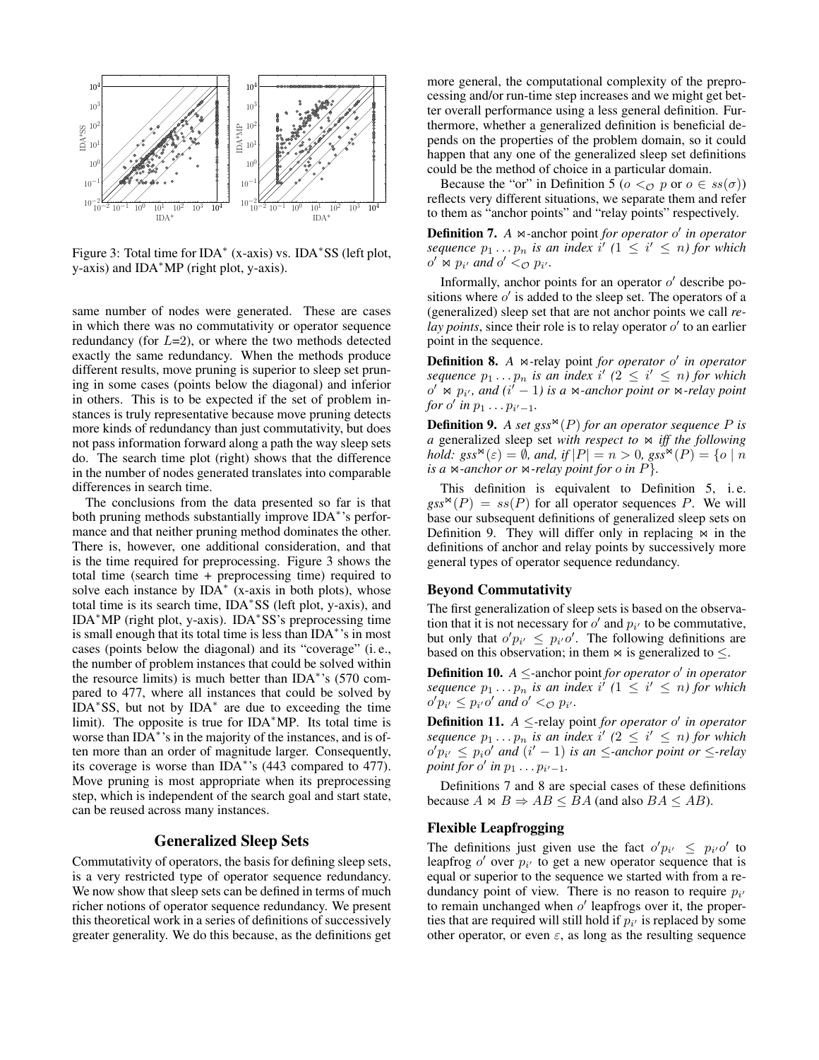

Figure 3: Total time for IDA<sup>∗</sup> (x-axis) vs. IDA<sup>∗</sup> SS (left plot, y-axis) and IDA∗MP (right plot, y-axis).

same number of nodes were generated. These are cases in which there was no commutativity or operator sequence redundancy (for  $L=2$ ), or where the two methods detected exactly the same redundancy. When the methods produce different results, move pruning is superior to sleep set pruning in some cases (points below the diagonal) and inferior in others. This is to be expected if the set of problem instances is truly representative because move pruning detects more kinds of redundancy than just commutativity, but does not pass information forward along a path the way sleep sets do. The search time plot (right) shows that the difference in the number of nodes generated translates into comparable differences in search time.

The conclusions from the data presented so far is that both pruning methods substantially improve IDA<sup>∗</sup> 's performance and that neither pruning method dominates the other. There is, however, one additional consideration, and that is the time required for preprocessing. Figure 3 shows the total time (search time + preprocessing time) required to solve each instance by  $IDA^*$  (x-axis in both plots), whose total time is its search time, IDA<sup>∗</sup> SS (left plot, y-axis), and IDA<sup>∗</sup>MP (right plot, y-axis). IDA<sup>∗</sup> SS's preprocessing time is small enough that its total time is less than IDA<sup>∗</sup> 's in most cases (points below the diagonal) and its "coverage" (i. e., the number of problem instances that could be solved within the resource limits) is much better than IDA<sup>∗</sup> 's (570 compared to 477, where all instances that could be solved by IDA<sup>∗</sup> SS, but not by IDA<sup>∗</sup> are due to exceeding the time limit). The opposite is true for IDA<sup>∗</sup>MP. Its total time is worse than IDA<sup>\*</sup>'s in the majority of the instances, and is often more than an order of magnitude larger. Consequently, its coverage is worse than IDA<sup>∗</sup> 's (443 compared to 477). Move pruning is most appropriate when its preprocessing step, which is independent of the search goal and start state, can be reused across many instances.

### Generalized Sleep Sets

Commutativity of operators, the basis for defining sleep sets, is a very restricted type of operator sequence redundancy. We now show that sleep sets can be defined in terms of much richer notions of operator sequence redundancy. We present this theoretical work in a series of definitions of successively greater generality. We do this because, as the definitions get

more general, the computational complexity of the preprocessing and/or run-time step increases and we might get better overall performance using a less general definition. Furthermore, whether a generalized definition is beneficial depends on the properties of the problem domain, so it could happen that any one of the generalized sleep set definitions could be the method of choice in a particular domain.

Because the "or" in Definition 5 ( $o <_{\mathcal{O}} p$  or  $o \in ss(\sigma)$ ) reflects very different situations, we separate them and refer to them as "anchor points" and "relay points" respectively.

Definition 7. A  $\bowtie$ -anchor point *for operator o' in operator sequence*  $p_1 \tildot p_n$  *is an index*  $i'$   $(1 \leq i' \leq n)$  for which  $o' \Join p_{i'}$  and  $o' <_{\mathcal{O}} p_{i'}$ .

Informally, anchor points for an operator  $o'$  describe positions where  $o'$  is added to the sleep set. The operators of a (generalized) sleep set that are not anchor points we call *re*lay points, since their role is to relay operator  $o'$  to an earlier point in the sequence.

**Definition 8.** A  $\bowtie$ -relay point *for operator o' in operator*  $sequence p_1 \ldots p_n$  *is an index*  $i'$  ( $2 \le i' \le n$ ) for which  $o' \bowtie p_i$ , and  $(i'-1)$  *is a*  $\bowtie$ -anchor point or  $\bowtie$ -relay point *for*  $o'$  *in*  $p_1 \ldots p_{i'-1}$ *.* 

**Definition 9.** A set gss<sup> $\mathbf{x}(P)$  for an operator sequence P is</sup> *a* generalized sleep set *with respect to*  $\bowtie$  *iff the following hold:*  $gss^{\bowtie}(\varepsilon) = \emptyset$ *, and, if*  $|P| = n > 0$ ,  $gss^{\bowtie}(P) = \{o \mid n$ *is a*  $\bowtie$ *-anchor or*  $\bowtie$ *-relay point for o in P*}.

This definition is equivalent to Definition 5, i. e.  $gss^{\bowtie}(P) = ss(P)$  for all operator sequences P. We will base our subsequent definitions of generalized sleep sets on Definition 9. They will differ only in replacing  $\bowtie$  in the definitions of anchor and relay points by successively more general types of operator sequence redundancy.

#### Beyond Commutativity

The first generalization of sleep sets is based on the observation that it is not necessary for  $o'$  and  $p_{i'}$  to be commutative, but only that  $o'p_{i'} \leq p_{i'}o'$ . The following definitions are based on this observation; in them  $\bowtie$  is generalized to  $\leq$ .

Definition 10. *A* ≤*-*anchor point *for operator* o 0 *in operator sequence*  $p_1 \tildes p_n$  *is an index*  $i^{\prime}$  ( $1 \leq i^{\prime} \leq n$ ) for which  $o'p_{i'} \leq p_{i'}o'$  and  $o' <_{\mathcal{O}} p_{i'}$ .

**Definition 11.**  $A \leq$ -relay point *for operator*  $o'$  *in operator sequence*  $p_1 \tildot p_n$  *is an index* i'  $(2 \leq i' \leq n)$  for which  $o'p_{i'} \leq p_i o'$  and  $(i'-1)$  is an  $\leq$ -anchor point or  $\leq$ -relay *point for*  $o'$  *in*  $p_1 \ldots p_{i'-1}$ *.* 

Definitions 7 and 8 are special cases of these definitions because  $A \bowtie B \Rightarrow AB \leq BA$  (and also  $BA \leq AB$ ).

#### Flexible Leapfrogging

The definitions just given use the fact  $o'p_{i'} \leq p_{i'}o'$  to leapfrog  $o'$  over  $p_{i'}$  to get a new operator sequence that is equal or superior to the sequence we started with from a redundancy point of view. There is no reason to require  $p_i$ to remain unchanged when  $o'$  leapfrogs over it, the properties that are required will still hold if  $p_i$  is replaced by some other operator, or even  $\varepsilon$ , as long as the resulting sequence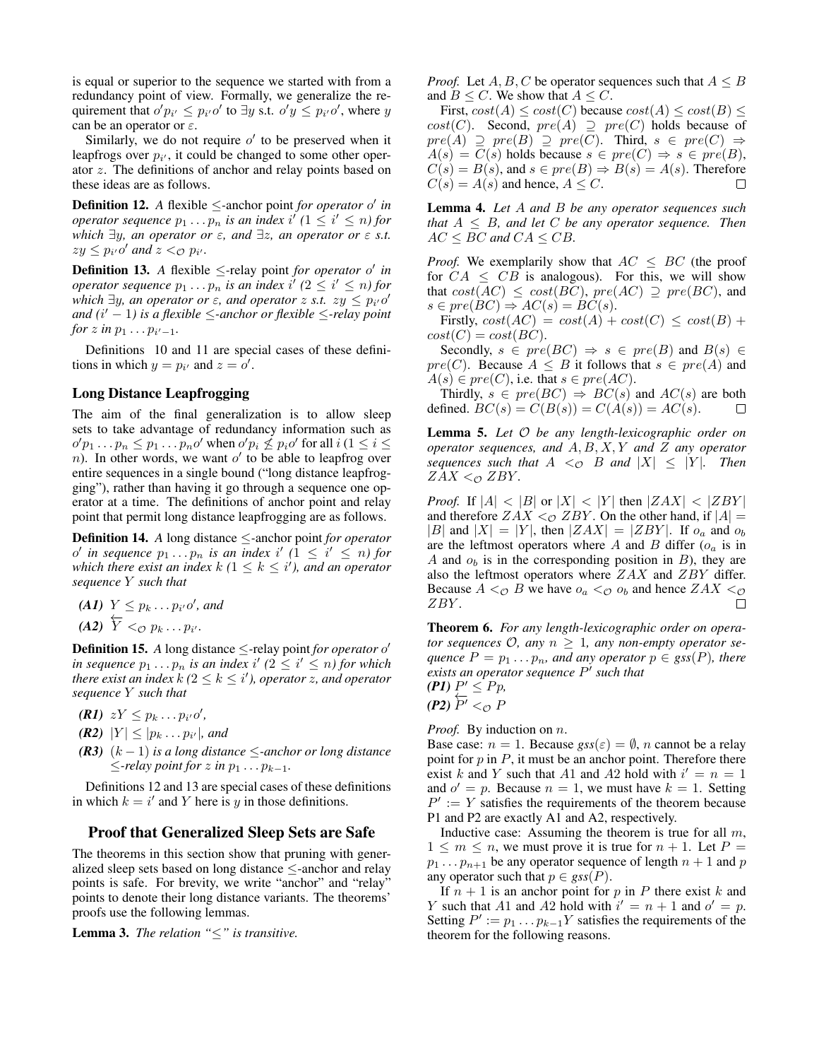is equal or superior to the sequence we started with from a redundancy point of view. Formally, we generalize the requirement that  $o'p_{i'} \leq p_{i'}o'$  to  $\exists y$  s.t.  $o'y \leq p_{i'}o'$ , where y can be an operator or  $\varepsilon$ .

Similarly, we do not require  $o'$  to be preserved when it leapfrogs over  $p_{i'}$ , it could be changed to some other operator z. The definitions of anchor and relay points based on these ideas are as follows.

**Definition 12.** *A* flexible  $\leq$ -anchor point *for operator* o' *in operator sequence*  $p_1 \ldots p_n$  *is an index*  $i^{\prime}$  ( $1 \leq i^{\prime} \leq n$ ) for *which* ∃y*, an operator or* ε*, and* ∃z*, an operator or* ε *s.t.*  $zy \leq p_{i'}o'$  and  $z <_{\mathcal{O}} p_{i'}$ .

**Definition 13.** *A* flexible  $\leq$ -relay point *for operator* o' *in operator sequence*  $p_1 \ldots p_n$  *is an index*  $i'$  ( $2 \leq i' \leq n$ ) for *which*  $\exists y$ *, an operator or*  $\varepsilon$ *, and operator z s.t.*  $zy \leq p_{i'}o'$ *and (*i <sup>0</sup> <sup>−</sup> <sup>1</sup>*) is a flexible* <sup>≤</sup>*-anchor or flexible* <sup>≤</sup>*-relay point for*  $z$  *in*  $p_1 \ldots p_{i'-1}$ *.* 

Definitions 10 and 11 are special cases of these definitions in which  $y = p_{i'}$  and  $z = o'$ .

### Long Distance Leapfrogging

The aim of the final generalization is to allow sleep sets to take advantage of redundancy information such as  $o'p_1 \tldots p_n \leq p_1 \tldots p_n o'$  when  $o'p_i \nleq p_i o'$  for all  $i (1 \leq i \leq n)$  $n$ ). In other words, we want  $o'$  to be able to leapfrog over entire sequences in a single bound ("long distance leapfrogging"), rather than having it go through a sequence one operator at a time. The definitions of anchor point and relay point that permit long distance leapfrogging are as follows.

Definition 14. *A* long distance ≤*-*anchor point *for operator*  $o'$  in sequence  $p_1 \tildot p_n$  is an index i'  $(1 \leq i' \leq n)$  for *which there exist an index*  $k$  ( $1 \leq k \leq i'$ ), and an operator *sequence* Y *such that*

*(A1)*  $Y \leq p_k ... p_{i'} o'$ , and  $(A2) \overleftarrow{Y} <_{\mathcal{O}} p_k \ldots p_{i'}.$ 

**Definition 15.** *A* long distance  $\leq$ -relay point *for operator* of *in sequence*  $p_1 \t ... p_n$  *is an index i'*  $(2 \leq i' \leq n)$  *for which there exist an index*  $k$  ( $2 \leq k \leq i'$ ), operator  $z$ , and operator *sequence* Y *such that*

- *(R1)*  $zY \leq p_k ... p_{i'}o'$ ,
- *(R2)*  $|Y| \leq |p_k ... p_{i'}|$ , and
- *(R3)* (k − 1) *is a long distance* ≤*-anchor or long distance*  $\le$ *-relay point for* z *in*  $p_1 \ldots p_{k-1}$ *.*

Definitions 12 and 13 are special cases of these definitions in which  $k = i'$  and Y here is y in those definitions.

#### Proof that Generalized Sleep Sets are Safe

The theorems in this section show that pruning with generalized sleep sets based on long distance ≤-anchor and relay points is safe. For brevity, we write "anchor" and "relay" points to denote their long distance variants. The theorems' proofs use the following lemmas.

Lemma 3. *The relation "*≤*" is transitive.*

*Proof.* Let  $A, B, C$  be operator sequences such that  $A \leq B$ and  $B \leq C$ . We show that  $A \leq C$ .

First,  $cost(A) \leq cost(C)$  because  $cost(A) \leq cost(B) \leq$  $cost(C)$ . Second,  $pre(A) \supseteq pre(C)$  holds because of  $pre(A) \supseteq pre(B) \supseteq pre(C)$ . Third,  $s \in pre(C) \Rightarrow$  $A(s) = \overline{C(s)}$  holds because  $s \in pre(C) \Rightarrow s \in pre(B)$ ,  $C(s) = B(s)$ , and  $s \in pre(B) \Rightarrow B(s) = A(s)$ . Therefore  $C(s) = A(s)$  and hence,  $A \leq C$ .

Lemma 4. *Let* A *and* B *be any operator sequences such that* A ≤ B*, and let* C *be any operator sequence. Then*  $AC \le BC$  and  $CA \le CB$ .

*Proof.* We exemplarily show that  $AC \le BC$  (the proof for  $CA \leq CB$  is analogous). For this, we will show that  $cost(AC) \leq cost(BC)$ ,  $pre(AC) \supseteq pre(BC)$ , and  $s \in pre(BC) \Rightarrow AC(s) = BC(s).$ 

Firstly,  $cost(AC) = cost(A) + cost(C) \leq cost(B) +$  $cost(C) = cost(BC).$ 

Secondly,  $s \in pre(BC) \Rightarrow s \in pre(B)$  and  $B(s) \in$  $pre(C)$ . Because  $A \leq B$  it follows that  $s \in pre(A)$  and  $A(s) \in pre(C)$ , i.e. that  $s \in pre(AC)$ .

Thirdly,  $s \in pre(BC) \Rightarrow BC(s)$  and  $AC(s)$  are both fined  $BC(s) = C(B(s)) = C(A(s)) = AC(s)$ defined.  $BC(s) = C(B(s)) = C(A(s)) = AC(s)$ .

Lemma 5. *Let* O *be any length-lexicographic order on operator sequences, and* A, B, X, Y *and* Z *any operator sequences such that*  $A \leq_{\mathcal{O}} B$  *and*  $|X| \leq |Y|$ *. Then*  $ZAX <sub>CD</sub> ZBY$ *.* 

*Proof.* If  $|A| < |B|$  or  $|X| < |Y|$  then  $|ZAX| < |ZBY|$ and therefore  $ZAX <sub>0</sub> ZBY$ . On the other hand, if  $|A| =$ |B| and  $|X| = |Y|$ , then  $|ZAX| = |ZBY|$ . If  $o_a$  and  $o_b$ are the leftmost operators where  $A$  and  $B$  differ  $(o<sub>a</sub>$  is in A and  $o<sub>b</sub>$  is in the corresponding position in B), they are also the leftmost operators where ZAX and ZBY differ. Because  $A <_{\mathcal{O}} B$  we have  $o_a <_{\mathcal{O}} o_b$  and hence  $ZAX <_{\mathcal{O}}$ ZBY . П

Theorem 6. *For any length-lexicographic order on operator sequences*  $\mathcal{O}$ *, any*  $n \geq 1$ *, any non-empty operator sequence*  $P = p_1 \dots p_n$ *, and any operator*  $p \in \text{gss}(P)$ *, there exists an operator sequence* P 0 *such that*

 $(PI) P' \leq Pp,$ *(P2)*  $\overleftarrow{P^{\prime}}$  < *⊙ F* 

*Proof.* By induction on *n*.

Base case:  $n = 1$ . Because  $gss(\varepsilon) = \emptyset$ , *n* cannot be a relay point for  $p$  in  $P$ , it must be an anchor point. Therefore there exist k and Y such that A1 and A2 hold with  $i' = n = 1$ and  $o' = p$ . Because  $n = 1$ , we must have  $k = 1$ . Setting  $P' := Y$  satisfies the requirements of the theorem because P1 and P2 are exactly A1 and A2, respectively.

Inductive case: Assuming the theorem is true for all  $m$ ,  $1 \leq m \leq n$ , we must prove it is true for  $n + 1$ . Let  $P =$  $p_1 \ldots p_{n+1}$  be any operator sequence of length  $n+1$  and p any operator such that  $p \in gss(P)$ .

If  $n + 1$  is an anchor point for p in P there exist k and Y such that A1 and A2 hold with  $i' = n + 1$  and  $o' = p$ . Setting  $P' := p_1 \dots p_{k-1} Y$  satisfies the requirements of the theorem for the following reasons.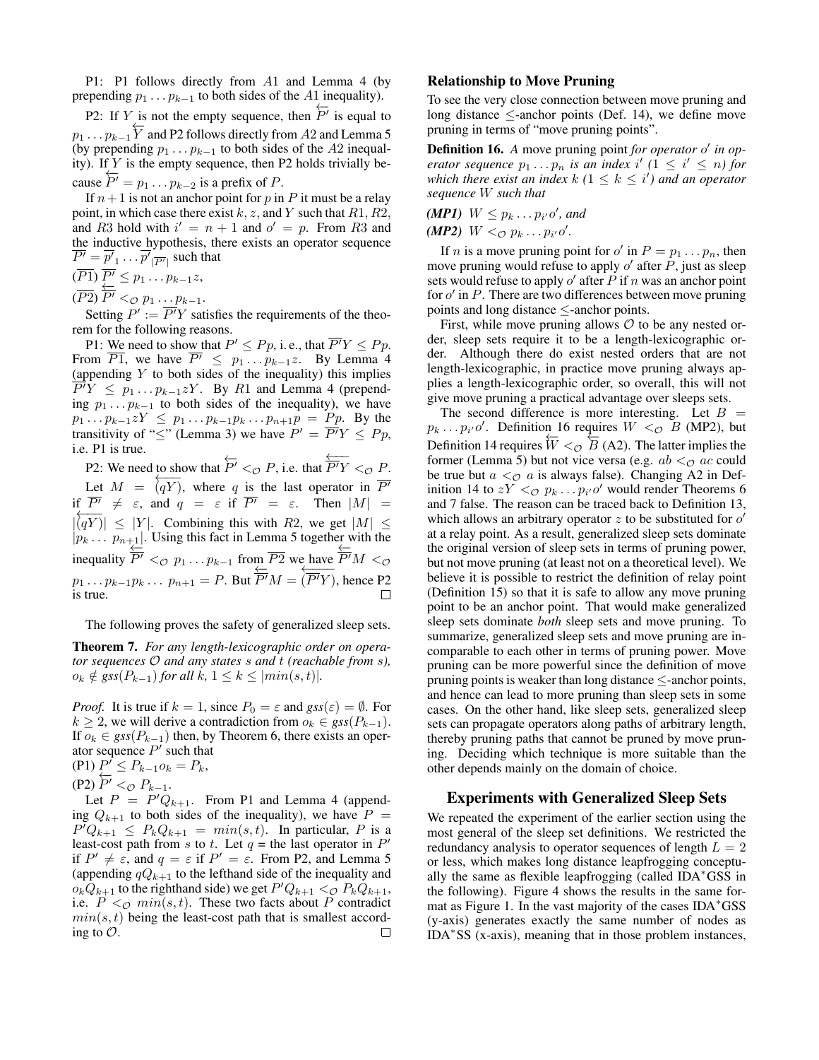P1: P1 follows directly from A1 and Lemma 4 (by prepending  $p_1 \t ... p_{k-1}$  to both sides of the A1 inequality).

P2: If Y is not the empty sequence, then  $\overleftarrow{P'}$  is equal to  $p_1 \dots p_{k-1} \overleftarrow{Y}$  and P2 follows directly from A2 and Lemma 5 (by prepending  $p_1 \t ... p_{k-1}$  to both sides of the A2 inequality). If  $Y$  is the empty sequence, then P2 holds trivially because  $\overleftarrow{P'} = p_1 \dots p_{k-2}$  is a prefix of P.

If  $n+1$  is not an anchor point for p in P it must be a relay point, in which case there exist k, z, and Y such that  $R1, R2$ , and R3 hold with  $i' = n + 1$  and  $o' = p$ . From R3 and the inductive hypothesis, there exists an operator sequence  $\overline{P'} = \overline{p'}_1 \dots \overline{p'}_{|\overline{P'}|}$  such that

$$
(\overline{P1})\ \overline{P'} \leq p_1 \dots p_{k-1}z,
$$

 $(\overline{P2}) \overleftarrow{P'} \leq_{\mathcal{O}} p_1 \dots p_{k-1}.$ 

Setting  $P' := \overline{P'}Y$  satisfies the requirements of the theorem for the following reasons.

P1: We need to show that  $P' \leq Pp$ , i. e., that  $\overline{P'Y} \leq Pp$ . From  $\overline{P1}$ , we have  $\overline{P'} \le \overline{p_1 \dots p_{k-1} z}$ . By Lemma 4 (appending  $Y$  to both sides of the inequality) this implies  $\overline{P}^{\prime}Y \leq p_1 \dots p_{k-1}zY$ . By R1 and Lemma 4 (prepending  $p_1 \t ... p_{k-1}$  to both sides of the inequality), we have  $p_1 \dots p_{k-1} zY \leq p_1 \dots p_{k-1} p_k \dots p_{n+1} p = P p$ . By the transitivity of " $\leq$ " (Lemma 3) we have  $P' = \overline{P'}Y \leq Pp$ , i.e. P1 is true.

P2: We need to show that  $\overleftarrow{P'} <_{\mathcal{O}} P$ , i.e. that  $\overleftarrow{P'}Y <_{\mathcal{O}} P$ . Let  $M = \overline{(qY)}$ , where q is the last operator in  $\overline{P'}$ if  $\overline{P'} \neq \varepsilon$ , and  $q = \varepsilon$  if  $\overline{P'} = \varepsilon$ . Then  $|M|$  =  $|\overline{(qY)}| \leq |Y|$ . Combining this with R2, we get  $|M| \leq$  $|p_k \dots p_{n+1}|$ . Using this fact in Lemma 5 together with the inequality  $\overleftarrow{P'} \lt_{\mathcal{O}} p_1 \ldots p_{k-1}$  from  $\overline{P2}$  we have  $\overleftarrow{P'}M \lt_{\mathcal{O}}$  $p_1 \dots p_{k-1} p_k \dots p_{n+1} = P$ . But  $\overleftarrow{P'}M = \overleftarrow{P'}Y$ , hence P2 is true.  $\Box$ 

The following proves the safety of generalized sleep sets.

Theorem 7. *For any length-lexicographic order on operator sequences* O *and any states* s *and* t *(reachable from* s*),*  $o_k \notin gss(P_{k-1})$  *for all k,* 1 ≤  $k$  ≤ |min(s, t)|*.* 

*Proof.* It is true if  $k = 1$ , since  $P_0 = \varepsilon$  and  $gss(\varepsilon) = \emptyset$ . For  $k$  ≥ 2, we will derive a contradiction from  $o_k$  ∈  $gss(P_{k-1})$ . If  $o_k$  ∈ *gss*( $P_{k-1}$ ) then, by Theorem 6, there exists an operator sequence  $P'$  such that  $(P1) P^f \leq P_{k-1} o_k = P_k,$ 

(P2)  $\overleftarrow{P'} <_{\mathcal{O}} P_{k-1}.$ 

Let  $P = P'Q_{k+1}$ . From P1 and Lemma 4 (appending  $Q_{k+1}$  to both sides of the inequality), we have  $P =$  $P^{T}Q_{k+1} \leq P_{k}Q_{k+1} = min(s,t)$ . In particular, P is a least-cost path from s to t. Let  $q =$  the last operator in  $P'$ if  $P' \neq \varepsilon$ , and  $q = \varepsilon$  if  $P' = \varepsilon$ . From P2, and Lemma 5 (appending  $qQ_{k+1}$  to the lefthand side of the inequality and  $o_k \overline{Q}_{k+1}$  to the righthand side) we get  $P'Q_{k+1} <_Q P_k \overline{Q}_{k+1}$ , i.e.  $P \leq_{\mathcal{O}} min(s, t)$ . These two facts about P contradict  $min(s, t)$  being the least-cost path that is smallest according to  $\mathcal{O}$ .  $\Box$ 

#### Relationship to Move Pruning

To see the very close connection between move pruning and long distance  $\leq$ -anchor points (Def. 14), we define move pruning in terms of "move pruning points".

Definition 16. A move pruning point *for operator* o' in op*erator sequence*  $p_1 \t ... \t p_n$  *is an index i'*  $(1 \leq i' \leq n)$  *for which there exist an index*  $k$  ( $1 \leq k \leq i'$ ) and an operator *sequence* W *such that*

*(MP1)*  $W \leq p_k \dots p_{i'} o'$ , and *(MP2)*  $W <_{\mathcal{O}} p_k ... p_{i'} o'$ .

If *n* is a move pruning point for  $o'$  in  $P = p_1 \dots p_n$ , then move pruning would refuse to apply  $o'$  after  $\overline{P}$ , just as sleep sets would refuse to apply  $o'$  after  $\overline{P}$  if  $n$  was an anchor point for  $o'$  in  $P$ . There are two differences between move pruning points and long distance ≤-anchor points.

First, while move pruning allows  $\mathcal O$  to be any nested order, sleep sets require it to be a length-lexicographic order. Although there do exist nested orders that are not length-lexicographic, in practice move pruning always applies a length-lexicographic order, so overall, this will not give move pruning a practical advantage over sleeps sets.

The second difference is more interesting. Let  $B =$  $p_k \dots p_{i'} o'$ . Definition 16 requires  $W <_{\mathcal{O}} B$  (MP2), but Definition 14 requires  $\overleftarrow{W} <_{\mathcal{O}} \overleftarrow{B}$  (A2). The latter implies the former (Lemma 5) but not vice versa (e.g.  $ab <_{\mathcal{O}} ac$  could be true but  $a <_{\mathcal{O}} a$  is always false). Changing A2 in Definition 14 to  $zY \leq_{\mathcal{O}} p_k \dots p_{i'} \mathcal{O}'$  would render Theorems 6 and 7 false. The reason can be traced back to Definition 13, which allows an arbitrary operator  $z$  to be substituted for  $o'$ at a relay point. As a result, generalized sleep sets dominate the original version of sleep sets in terms of pruning power, but not move pruning (at least not on a theoretical level). We believe it is possible to restrict the definition of relay point (Definition 15) so that it is safe to allow any move pruning point to be an anchor point. That would make generalized sleep sets dominate *both* sleep sets and move pruning. To summarize, generalized sleep sets and move pruning are incomparable to each other in terms of pruning power. Move pruning can be more powerful since the definition of move pruning points is weaker than long distance  $\leq$ -anchor points, and hence can lead to more pruning than sleep sets in some cases. On the other hand, like sleep sets, generalized sleep sets can propagate operators along paths of arbitrary length, thereby pruning paths that cannot be pruned by move pruning. Deciding which technique is more suitable than the other depends mainly on the domain of choice.

#### Experiments with Generalized Sleep Sets

We repeated the experiment of the earlier section using the most general of the sleep set definitions. We restricted the redundancy analysis to operator sequences of length  $L = 2$ or less, which makes long distance leapfrogging conceptually the same as flexible leapfrogging (called IDA<sup>∗</sup>GSS in the following). Figure 4 shows the results in the same format as Figure 1. In the vast majority of the cases IDA<sup>\*</sup>GSS (y-axis) generates exactly the same number of nodes as IDA<sup>∗</sup> SS (x-axis), meaning that in those problem instances,